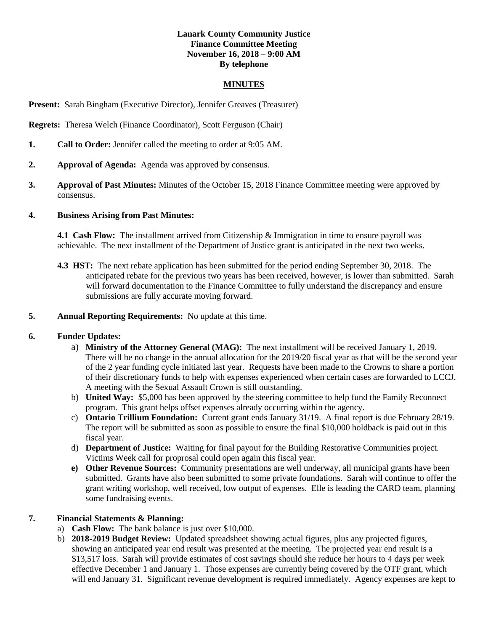# **Lanark County Community Justice Finance Committee Meeting November 16, 2018 – 9:00 AM By telephone**

#### **MINUTES**

**Present:** Sarah Bingham (Executive Director), Jennifer Greaves (Treasurer)

**Regrets:** Theresa Welch (Finance Coordinator), Scott Ferguson (Chair)

- **1. Call to Order:** Jennifer called the meeting to order at 9:05 AM.
- **2. Approval of Agenda:** Agenda was approved by consensus.
- **3. Approval of Past Minutes:** Minutes of the October 15, 2018 Finance Committee meeting were approved by consensus.

### **4. Business Arising from Past Minutes:**

**4.1 Cash Flow:** The installment arrived from Citizenship & Immigration in time to ensure payroll was achievable. The next installment of the Department of Justice grant is anticipated in the next two weeks.

**4.3 HST:** The next rebate application has been submitted for the period ending September 30, 2018. The anticipated rebate for the previous two years has been received, however, is lower than submitted. Sarah will forward documentation to the Finance Committee to fully understand the discrepancy and ensure submissions are fully accurate moving forward.

#### **5. Annual Reporting Requirements:** No update at this time.

### **6. Funder Updates:**

- a) **Ministry of the Attorney General (MAG):** The next installment will be received January 1, 2019. There will be no change in the annual allocation for the 2019/20 fiscal year as that will be the second year of the 2 year funding cycle initiated last year. Requests have been made to the Crowns to share a portion of their discretionary funds to help with expenses experienced when certain cases are forwarded to LCCJ. A meeting with the Sexual Assault Crown is still outstanding.
- b) **United Way:** \$5,000 has been approved by the steering committee to help fund the Family Reconnect program. This grant helps offset expenses already occurring within the agency.
- c) **Ontario Trillium Foundation:** Current grant ends January 31/19. A final report is due February 28/19. The report will be submitted as soon as possible to ensure the final \$10,000 holdback is paid out in this fiscal year.
- d) **Department of Justice:** Waiting for final payout for the Building Restorative Communities project. Victims Week call for proprosal could open again this fiscal year.
- **e) Other Revenue Sources:** Community presentations are well underway, all municipal grants have been submitted. Grants have also been submitted to some private foundations. Sarah will continue to offer the grant writing workshop, well received, low output of expenses. Elle is leading the CARD team, planning some fundraising events.

# **7. Financial Statements & Planning:**

- a) **Cash Flow:** The bank balance is just over \$10,000.
- b) **2018-2019 Budget Review:** Updated spreadsheet showing actual figures, plus any projected figures, showing an anticipated year end result was presented at the meeting. The projected year end result is a \$13,517 loss. Sarah will provide estimates of cost savings should she reduce her hours to 4 days per week effective December 1 and January 1. Those expenses are currently being covered by the OTF grant, which will end January 31. Significant revenue development is required immediately. Agency expenses are kept to